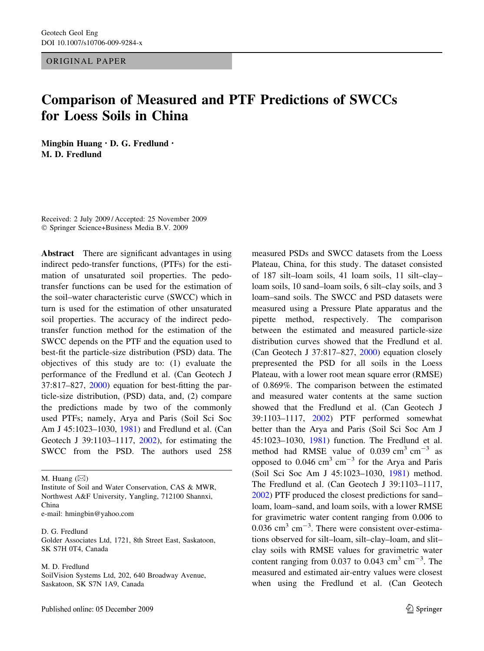ORIGINAL PAPER

# Comparison of Measured and PTF Predictions of SWCCs for Loess Soils in China

Mingbin Huang • D. G. Fredlund • M. D. Fredlund

Received: 2 July 2009 / Accepted: 25 November 2009 Springer Science+Business Media B.V. 2009

Abstract There are significant advantages in using indirect pedo-transfer functions, (PTFs) for the estimation of unsaturated soil properties. The pedotransfer functions can be used for the estimation of the soil–water characteristic curve (SWCC) which in turn is used for the estimation of other unsaturated soil properties. The accuracy of the indirect pedotransfer function method for the estimation of the SWCC depends on the PTF and the equation used to best-fit the particle-size distribution (PSD) data. The objectives of this study are to: (1) evaluate the performance of the Fredlund et al. (Can Geotech J 37:817–827, [2000\)](#page-12-0) equation for best-fitting the particle-size distribution, (PSD) data, and, (2) compare the predictions made by two of the commonly used PTFs; namely, Arya and Paris (Soil Sci Soc Am J 45:1023–1030, [1981\)](#page-11-0) and Fredlund et al. (Can Geotech J 39:1103–1117, [2002](#page-12-0)), for estimating the SWCC from the PSD. The authors used 258

M. Huang  $(\boxtimes)$ 

Institute of Soil and Water Conservation, CAS & MWR, Northwest A&F University, Yangling, 712100 Shannxi, China

e-mail: hmingbin@yahoo.com

D. G. Fredlund Golder Associates Ltd, 1721, 8th Street East, Saskatoon, SK S7H 0T4, Canada

#### M. D. Fredlund

SoilVision Systems Ltd, 202, 640 Broadway Avenue, Saskatoon, SK S7N 1A9, Canada

measured PSDs and SWCC datasets from the Loess Plateau, China, for this study. The dataset consisted of 187 silt–loam soils, 41 loam soils, 11 silt–clay– loam soils, 10 sand–loam soils, 6 silt–clay soils, and 3 loam–sand soils. The SWCC and PSD datasets were measured using a Pressure Plate apparatus and the pipette method, respectively. The comparison between the estimated and measured particle-size distribution curves showed that the Fredlund et al. (Can Geotech J 37:817–827, [2000\)](#page-12-0) equation closely prepresented the PSD for all soils in the Loess Plateau, with a lower root mean square error (RMSE) of 0.869%. The comparison between the estimated and measured water contents at the same suction showed that the Fredlund et al. (Can Geotech J 39:1103–1117, [2002](#page-12-0)) PTF performed somewhat better than the Arya and Paris (Soil Sci Soc Am J 45:1023–1030, [1981\)](#page-11-0) function. The Fredlund et al. method had RMSE value of  $0.039 \text{ cm}^3 \text{ cm}^{-3}$  as opposed to  $0.046$  cm<sup>3</sup> cm<sup>-3</sup> for the Arya and Paris (Soil Sci Soc Am J 45:1023–1030, [1981\)](#page-11-0) method. The Fredlund et al. (Can Geotech J 39:1103–1117, [2002\)](#page-12-0) PTF produced the closest predictions for sand– loam, loam–sand, and loam soils, with a lower RMSE for gravimetric water content ranging from 0.006 to  $0.036$  cm<sup>3</sup> cm<sup>-3</sup>. There were consistent over-estimations observed for silt–loam, silt–clay–loam, and slit– clay soils with RMSE values for gravimetric water content ranging from 0.037 to 0.043  $\text{cm}^3 \text{ cm}^{-3}$ . The measured and estimated air-entry values were closest when using the Fredlund et al. (Can Geotech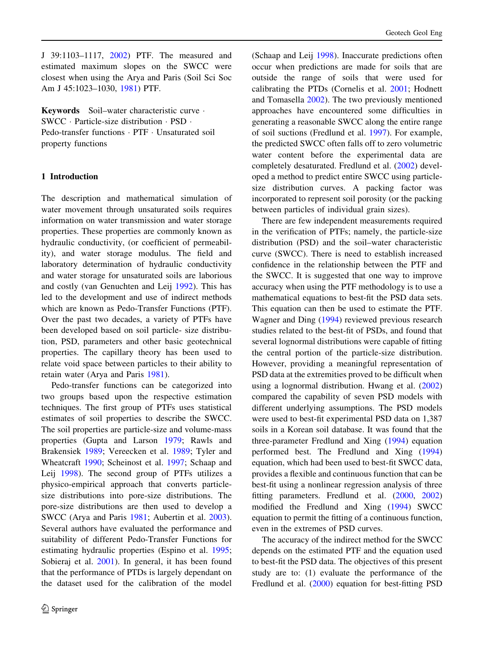J 39:1103–1117, [2002](#page-12-0)) PTF. The measured and estimated maximum slopes on the SWCC were closest when using the Arya and Paris (Soil Sci Soc Am J 45:1023–1030, [1981\)](#page-11-0) PTF.

Keywords Soil–water characteristic curve · SWCC · Particle-size distribution · PSD · Pedo-transfer functions · PTF · Unsaturated soil property functions

# 1 Introduction

The description and mathematical simulation of water movement through unsaturated soils requires information on water transmission and water storage properties. These properties are commonly known as hydraulic conductivity, (or coefficient of permeability), and water storage modulus. The field and laboratory determination of hydraulic conductivity and water storage for unsaturated soils are laborious and costly (van Genuchten and Leij [1992](#page-12-0)). This has led to the development and use of indirect methods which are known as Pedo-Transfer Functions (PTF). Over the past two decades, a variety of PTFs have been developed based on soil particle- size distribution, PSD, parameters and other basic geotechnical properties. The capillary theory has been used to relate void space between particles to their ability to retain water (Arya and Paris [1981](#page-11-0)).

Pedo-transfer functions can be categorized into two groups based upon the respective estimation techniques. The first group of PTFs uses statistical estimates of soil properties to describe the SWCC. The soil properties are particle-size and volume-mass properties (Gupta and Larson [1979;](#page-12-0) Rawls and Brakensiek [1989;](#page-12-0) Vereecken et al. [1989;](#page-12-0) Tyler and Wheatcraft [1990](#page-12-0); Scheinost et al. [1997;](#page-12-0) Schaap and Leij [1998](#page-12-0)). The second group of PTFs utilizes a physico-empirical approach that converts particlesize distributions into pore-size distributions. The pore-size distributions are then used to develop a SWCC (Arya and Paris [1981;](#page-11-0) Aubertin et al. [2003](#page-11-0)). Several authors have evaluated the performance and suitability of different Pedo-Transfer Functions for estimating hydraulic properties (Espino et al. [1995](#page-12-0); Sobieraj et al. [2001\)](#page-12-0). In general, it has been found that the performance of PTDs is largely dependant on the dataset used for the calibration of the model

(Schaap and Leij [1998\)](#page-12-0). Inaccurate predictions often occur when predictions are made for soils that are outside the range of soils that were used for calibrating the PTDs (Cornelis et al. [2001](#page-12-0); Hodnett and Tomasella [2002](#page-12-0)). The two previously mentioned approaches have encountered some difficulties in generating a reasonable SWCC along the entire range of soil suctions (Fredlund et al. [1997](#page-12-0)). For example, the predicted SWCC often falls off to zero volumetric water content before the experimental data are completely desaturated. Fredlund et al. ([2002\)](#page-12-0) developed a method to predict entire SWCC using particlesize distribution curves. A packing factor was incorporated to represent soil porosity (or the packing between particles of individual grain sizes).

There are few independent measurements required in the verification of PTFs; namely, the particle-size distribution (PSD) and the soil–water characteristic curve (SWCC). There is need to establish increased confidence in the relationship between the PTF and the SWCC. It is suggested that one way to improve accuracy when using the PTF methodology is to use a mathematical equations to best-fit the PSD data sets. This equation can then be used to estimate the PTF. Wagner and Ding [\(1994](#page-12-0)) reviewed previous research studies related to the best-fit of PSDs, and found that several lognormal distributions were capable of fitting the central portion of the particle-size distribution. However, providing a meaningful representation of PSD data at the extremities proved to be difficult when using a lognormal distribution. Hwang et al. ([2002\)](#page-12-0) compared the capability of seven PSD models with different underlying assumptions. The PSD models were used to best-fit experimental PSD data on 1,387 soils in a Korean soil database. It was found that the three-parameter Fredlund and Xing [\(1994](#page-12-0)) equation performed best. The Fredlund and Xing ([1994\)](#page-12-0) equation, which had been used to best-fit SWCC data, provides a flexible and continuous function that can be best-fit using a nonlinear regression analysis of three fitting parameters. Fredlund et al. [\(2000](#page-12-0), [2002\)](#page-12-0) modified the Fredlund and Xing ([1994\)](#page-12-0) SWCC equation to permit the fitting of a continuous function, even in the extremes of PSD curves.

The accuracy of the indirect method for the SWCC depends on the estimated PTF and the equation used to best-fit the PSD data. The objectives of this present study are to: (1) evaluate the performance of the Fredlund et al. [\(2000](#page-12-0)) equation for best-fitting PSD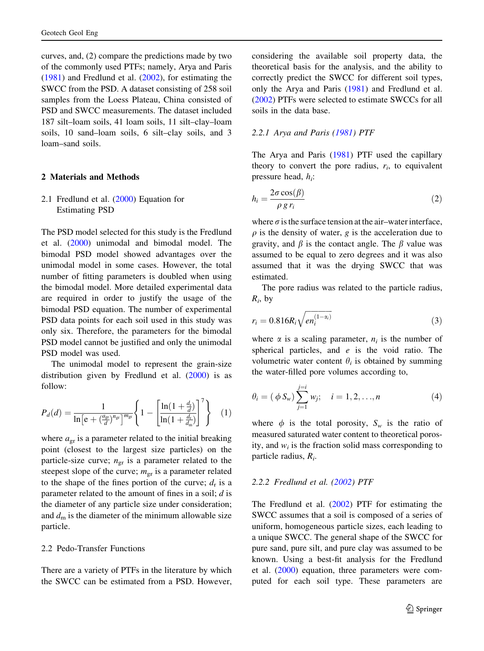curves, and, (2) compare the predictions made by two of the commonly used PTFs; namely, Arya and Paris [\(1981](#page-11-0)) and Fredlund et al. ([2002\)](#page-12-0), for estimating the SWCC from the PSD. A dataset consisting of 258 soil samples from the Loess Plateau, China consisted of PSD and SWCC measurements. The dataset included 187 silt–loam soils, 41 loam soils, 11 silt–clay–loam soils, 10 sand–loam soils, 6 silt–clay soils, and 3 loam–sand soils.

# 2 Materials and Methods

2.1 Fredlund et al. ([2000\)](#page-12-0) Equation for Estimating PSD

The PSD model selected for this study is the Fredlund et al. ([2000\)](#page-12-0) unimodal and bimodal model. The bimodal PSD model showed advantages over the unimodal model in some cases. However, the total number of fitting parameters is doubled when using the bimodal model. More detailed experimental data are required in order to justify the usage of the bimodal PSD equation. The number of experimental PSD data points for each soil used in this study was only six. Therefore, the parameters for the bimodal PSD model cannot be justified and only the unimodal PSD model was used.

The unimodal model to represent the grain-size distribution given by Fredlund et al.  $(2000)$  $(2000)$  is as follow:

$$
P_d(d) = \frac{1}{\ln\left[e + \left(\frac{a_{\rm gr}}{d}\right)^{n_{\rm gr}}\right]^{m_{\rm gr}}} \left\{ 1 - \left[ \frac{\ln\left(1 + \frac{d_t}{d}\right)}{\ln\left(1 + \frac{d_t}{d_{\rm m}}\right)} \right]^7 \right\} \tag{1}
$$

where  $a_{gr}$  is a parameter related to the initial breaking point (closest to the largest size particles) on the particle-size curve;  $n_{\text{gr}}$  is a parameter related to the steepest slope of the curve;  $m_{\text{gr}}$  is a parameter related to the shape of the fines portion of the curve;  $d_r$  is a parameter related to the amount of fines in a soil;  $d$  is the diameter of any particle size under consideration; and  $d_m$  is the diameter of the minimum allowable size particle.

# 2.2 Pedo-Transfer Functions

There are a variety of PTFs in the literature by which the SWCC can be estimated from a PSD. However,

considering the available soil property data, the theoretical basis for the analysis, and the ability to correctly predict the SWCC for different soil types, only the Arya and Paris [\(1981](#page-11-0)) and Fredlund et al. [\(2002](#page-12-0)) PTFs were selected to estimate SWCCs for all soils in the data base.

#### 2.2.1 Arya and Paris [\(1981](#page-11-0)) PTF

The Arya and Paris [\(1981](#page-11-0)) PTF used the capillary theory to convert the pore radius,  $r_i$ , to equivalent pressure head,  $h_i$ :

$$
h_i = \frac{2\sigma \cos(\beta)}{\rho \, g \, r_i} \tag{2}
$$

where  $\sigma$  is the surface tension at the air–water interface,  $\rho$  is the density of water, g is the acceleration due to gravity, and  $\beta$  is the contact angle. The  $\beta$  value was assumed to be equal to zero degrees and it was also assumed that it was the drying SWCC that was estimated.

The pore radius was related to the particle radius,  $R_i$ , by

$$
r_i = 0.816 R_i \sqrt{e n_i^{(1-\alpha_i)}}\tag{3}
$$

where  $\alpha$  is a scaling parameter,  $n_i$  is the number of spherical particles, and  $e$  is the void ratio. The volumetric water content  $\theta_i$  is obtained by summing the water-filled pore volumes according to,

$$
\theta_i = (\phi S_w) \sum_{j=1}^{j=i} w_j; \quad i = 1, 2, ..., n
$$
 (4)

where  $\phi$  is the total porosity,  $S_w$  is the ratio of measured saturated water content to theoretical porosity, and  $w_i$  is the fraction solid mass corresponding to particle radius,  $R_i$ .

#### 2.2.2 Fredlund et al. ([2002\)](#page-12-0) PTF

The Fredlund et al. ([2002](#page-12-0)) PTF for estimating the SWCC assumes that a soil is composed of a series of uniform, homogeneous particle sizes, each leading to a unique SWCC. The general shape of the SWCC for pure sand, pure silt, and pure clay was assumed to be known. Using a best-fit analysis for the Fredlund et al. ([2000\)](#page-12-0) equation, three parameters were computed for each soil type. These parameters are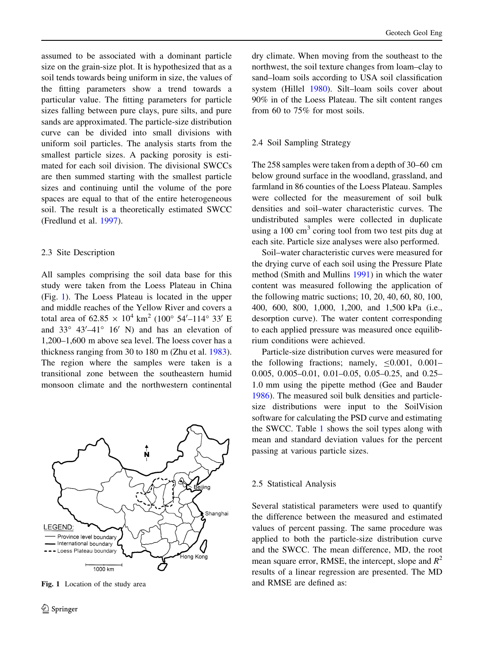assumed to be associated with a dominant particle size on the grain-size plot. It is hypothesized that as a soil tends towards being uniform in size, the values of the fitting parameters show a trend towards a particular value. The fitting parameters for particle sizes falling between pure clays, pure silts, and pure sands are approximated. The particle-size distribution curve can be divided into small divisions with uniform soil particles. The analysis starts from the smallest particle sizes. A packing porosity is estimated for each soil division. The divisional SWCCs are then summed starting with the smallest particle sizes and continuing until the volume of the pore spaces are equal to that of the entire heterogeneous soil. The result is a theoretically estimated SWCC (Fredlund et al. [1997](#page-12-0)).

# 2.3 Site Description

All samples comprising the soil data base for this study were taken from the Loess Plateau in China (Fig. 1). The Loess Plateau is located in the upper and middle reaches of the Yellow River and covers a total area of  $62.85 \times 10^4 \text{ km}^2 (100^{\circ} 54' - 114^{\circ} 33' \text{ E})$ and  $33^{\circ}$   $43'$  -41<sup>\corrac</sup> 16<sup>'</sup> N) and has an elevation of 1,200–1,600 m above sea level. The loess cover has a thickness ranging from 30 to 180 m (Zhu et al. [1983](#page-12-0)). The region where the samples were taken is a transitional zone between the southeastern humid monsoon climate and the northwestern continental



dry climate. When moving from the southeast to the northwest, the soil texture changes from loam–clay to sand–loam soils according to USA soil classification system (Hillel [1980](#page-12-0)). Silt–loam soils cover about 90% in of the Loess Plateau. The silt content ranges from 60 to 75% for most soils.

#### 2.4 Soil Sampling Strategy

The 258 samples were taken from a depth of 30–60 cm below ground surface in the woodland, grassland, and farmland in 86 counties of the Loess Plateau. Samples were collected for the measurement of soil bulk densities and soil–water characteristic curves. The undistributed samples were collected in duplicate using a  $100 \text{ cm}^3$  coring tool from two test pits dug at each site. Particle size analyses were also performed.

Soil–water characteristic curves were measured for the drying curve of each soil using the Pressure Plate method (Smith and Mullins [1991\)](#page-12-0) in which the water content was measured following the application of the following matric suctions; 10, 20, 40, 60, 80, 100, 400, 600, 800, 1,000, 1,200, and 1,500 kPa (i.e., desorption curve). The water content corresponding to each applied pressure was measured once equilibrium conditions were achieved.

Particle-size distribution curves were measured for the following fractions; namely,  $\leq 0.001$ , 0.001– 0.005, 0.005–0.01, 0.01–0.05, 0.05–0.25, and 0.25– 1.0 mm using the pipette method (Gee and Bauder [1986\)](#page-12-0). The measured soil bulk densities and particlesize distributions were input to the SoilVision software for calculating the PSD curve and estimating the SWCC. Table [1](#page-4-0) shows the soil types along with mean and standard deviation values for the percent passing at various particle sizes.

#### 2.5 Statistical Analysis

Several statistical parameters were used to quantify the difference between the measured and estimated values of percent passing. The same procedure was applied to both the particle-size distribution curve and the SWCC. The mean difference, MD, the root mean square error, RMSE, the intercept, slope and  $R^2$ results of a linear regression are presented. The MD Fig. 1 Location of the study area and RMSE are defined as: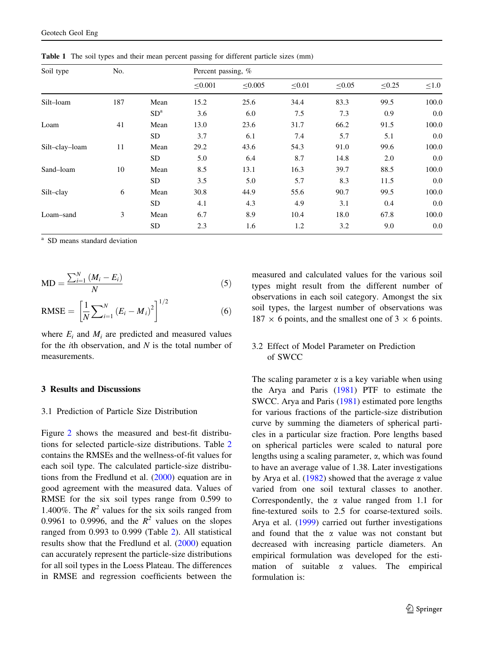| Soil type      | No. |                 | Percent passing, % |         |        |        |             |            |
|----------------|-----|-----------------|--------------------|---------|--------|--------|-------------|------------|
|                |     |                 | < 0.001            | < 0.005 | < 0.01 | < 0.05 | $\leq 0.25$ | $\leq 1.0$ |
| Silt-loam      | 187 | Mean            | 15.2               | 25.6    | 34.4   | 83.3   | 99.5        | 100.0      |
|                |     | SD <sup>a</sup> | 3.6                | 6.0     | 7.5    | 7.3    | 0.9         | 0.0        |
| Loam           | 41  | Mean            | 13.0               | 23.6    | 31.7   | 66.2   | 91.5        | 100.0      |
|                |     | SD.             | 3.7                | 6.1     | 7.4    | 5.7    | 5.1         | 0.0        |
| Silt-clay-loam | 11  | Mean            | 29.2               | 43.6    | 54.3   | 91.0   | 99.6        | 100.0      |
|                |     | SD.             | 5.0                | 6.4     | 8.7    | 14.8   | 2.0         | 0.0        |
| Sand-loam      | 10  | Mean            | 8.5                | 13.1    | 16.3   | 39.7   | 88.5        | 100.0      |
|                |     | SD.             | 3.5                | 5.0     | 5.7    | 8.3    | 11.5        | 0.0        |
| Silt-clay      | 6   | Mean            | 30.8               | 44.9    | 55.6   | 90.7   | 99.5        | 100.0      |
|                |     | SD.             | 4.1                | 4.3     | 4.9    | 3.1    | 0.4         | 0.0        |
| Loam-sand      | 3   | Mean            | 6.7                | 8.9     | 10.4   | 18.0   | 67.8        | 100.0      |
|                |     | <b>SD</b>       | 2.3                | 1.6     | 1.2    | 3.2    | 9.0         | 0.0        |

<span id="page-4-0"></span>Table 1 The soil types and their mean percent passing for different particle sizes (mm)

SD means standard deviation

$$
MD = \frac{\sum_{i=1}^{N} (M_i - E_i)}{N}
$$
 (5)

RMSE = 
$$
\left[\frac{1}{N}\sum_{i=1}^{N} (E_i - M_i)^2\right]^{1/2}
$$
 (6)

where  $E_i$  and  $M_i$  are predicted and measured values for the *i*th observation, and  $N$  is the total number of measurements.

# 3 Results and Discussions

#### 3.1 Prediction of Particle Size Distribution

Figure [2](#page-5-0) shows the measured and best-fit distributions for selected particle-size distributions. Table [2](#page-6-0) contains the RMSEs and the wellness-of-fit values for each soil type. The calculated particle-size distributions from the Fredlund et al. [\(2000](#page-12-0)) equation are in good agreement with the measured data. Values of RMSE for the six soil types range from 0.599 to 1.400%. The  $R^2$  values for the six soils ranged from 0.9961 to 0.9996, and the  $R^2$  values on the slopes ranged from 0.993 to 0.999 (Table [2](#page-6-0)). All statistical results show that the Fredlund et al. [\(2000\)](#page-12-0) equation can accurately represent the particle-size distributions for all soil types in the Loess Plateau. The differences in RMSE and regression coefficients between the measured and calculated values for the various soil types might result from the different number of observations in each soil category. Amongst the six soil types, the largest number of observations was  $187 \times 6$  points, and the smallest one of 3  $\times$  6 points.

# 3.2 Effect of Model Parameter on Prediction of SWCC

The scaling parameter  $\alpha$  is a key variable when using the Arya and Paris ([1981\)](#page-11-0) PTF to estimate the SWCC. Arya and Paris ([1981\)](#page-11-0) estimated pore lengths for various fractions of the particle-size distribution curve by summing the diameters of spherical particles in a particular size fraction. Pore lengths based on spherical particles were scaled to natural pore lengths using a scaling parameter,  $\alpha$ , which was found to have an average value of 1.38. Later investigations by Arya et al. ([1982\)](#page-11-0) showed that the average  $\alpha$  value varied from one soil textural classes to another. Correspondently, the  $\alpha$  value ranged from 1.1 for fine-textured soils to 2.5 for coarse-textured soils. Arya et al. [\(1999](#page-11-0)) carried out further investigations and found that the  $\alpha$  value was not constant but decreased with increasing particle diameters. An empirical formulation was developed for the estimation of suitable  $\alpha$  values. The empirical formulation is: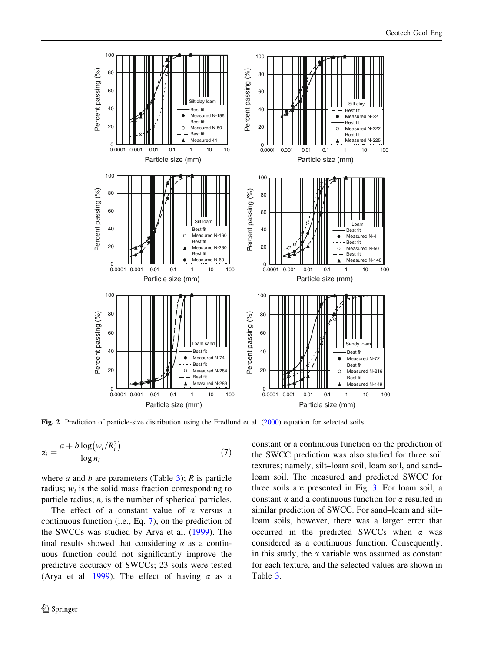<span id="page-5-0"></span>

Fig. 2 Prediction of particle-size distribution using the Fredlund et al. [\(2000](#page-12-0)) equation for selected soils

$$
\alpha_i = \frac{a + b \log(w_i/R_i^3)}{\log n_i} \tag{7}
$$

where *a* and *b* are parameters (Table [3](#page-6-0)); *R* is particle radius;  $w_i$  is the solid mass fraction corresponding to particle radius;  $n_i$  is the number of spherical particles.

The effect of a constant value of  $\alpha$  versus a continuous function (i.e., Eq. [7](#page-4-0)), on the prediction of the SWCCs was studied by Arya et al. ([1999\)](#page-11-0). The final results showed that considering  $\alpha$  as a continuous function could not significantly improve the predictive accuracy of SWCCs; 23 soils were tested (Arya et al. [1999](#page-11-0)). The effect of having  $\alpha$  as a constant or a continuous function on the prediction of the SWCC prediction was also studied for three soil textures; namely, silt–loam soil, loam soil, and sand– loam soil. The measured and predicted SWCC for three soils are presented in Fig. [3](#page-6-0). For loam soil, a constant  $\alpha$  and a continuous function for  $\alpha$  resulted in similar prediction of SWCC. For sand–loam and silt– loam soils, however, there was a larger error that occurred in the predicted SWCCs when  $\alpha$  was considered as a continuous function. Consequently, in this study, the  $\alpha$  variable was assumed as constant for each texture, and the selected values are shown in Table [3](#page-6-0).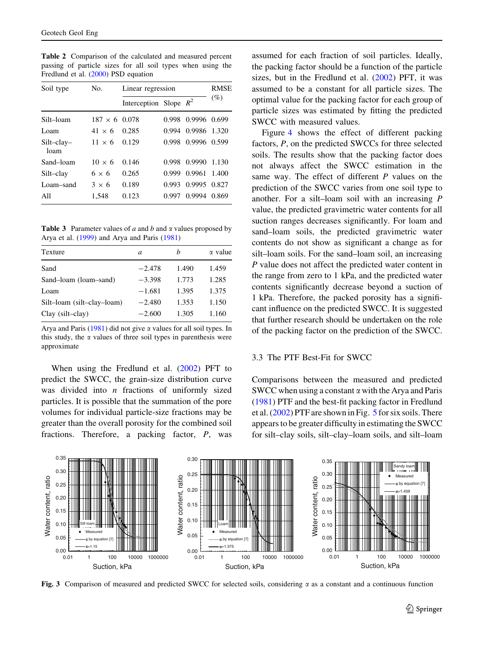<span id="page-6-0"></span>Table 2 Comparison of the calculated and measured percent passing of particle sizes for all soil types when using the Fredlund et al. [\(2000](#page-12-0)) PSD equation

| Soil type          | No.                  | Linear regression        | <b>RMSE</b> |              |        |
|--------------------|----------------------|--------------------------|-------------|--------------|--------|
|                    |                      | Interception Slope $R^2$ |             |              | $(\%)$ |
| Silt-loam          | $187 \times 6$ 0.078 |                          | 0.998       | 0.9996 0.699 |        |
| Loam               | $41 \times 6$        | 0.285                    | 0.994       | 0.9986       | 1.320  |
| Silt-clay-<br>loam | $11 \times 6$        | 0.129                    | 0.998       | 0.9996 0.599 |        |
| Sand-loam          | $10 \times 6$        | 0.146                    | 0.998       | 0.9990       | 1.130  |
| Silt-clay          | $6 \times 6$         | 0.265                    | 0.999       | 0.9961       | 1.400  |
| Loam-sand          | $3 \times 6$         | 0.189                    | 0.993       | 0.9995       | 0.827  |
| All                | 1,548                | 0.123                    | 0.997       | 0.9994       | 0.869  |

**Table 3** Parameter values of a and b and  $\alpha$  values proposed by Arya et al. [\(1999](#page-11-0)) and Arya and Paris ([1981\)](#page-11-0)

| Texture                    | a        | h     | $\alpha$ value |
|----------------------------|----------|-------|----------------|
| Sand                       | $-2.478$ | 1.490 | 1.459          |
| Sand-loam (loam-sand)      | $-3.398$ | 1.773 | 1.285          |
| Loam                       | $-1.681$ | 1.395 | 1.375          |
| Silt-loam (silt-clay-loam) | $-2.480$ | 1.353 | 1.150          |
| Clay (silt-clay)           | $-2.600$ | 1.305 | 1.160          |

Arya and Paris  $(1981)$  $(1981)$  did not give  $\alpha$  values for all soil types. In this study, the  $\alpha$  values of three soil types in parenthesis were approximate

When using the Fredlund et al. ([2002\)](#page-12-0) PFT to predict the SWCC, the grain-size distribution curve was divided into  $n$  fractions of uniformly sized particles. It is possible that the summation of the pore volumes for individual particle-size fractions may be greater than the overall porosity for the combined soil fractions. Therefore, a packing factor, P, was assumed for each fraction of soil particles. Ideally, the packing factor should be a function of the particle sizes, but in the Fredlund et al. [\(2002](#page-12-0)) PFT, it was assumed to be a constant for all particle sizes. The optimal value for the packing factor for each group of particle sizes was estimated by fitting the predicted SWCC with measured values.

Figure [4](#page-7-0) shows the effect of different packing factors, P, on the predicted SWCCs for three selected soils. The results show that the packing factor does not always affect the SWCC estimation in the same way. The effect of different  $P$  values on the prediction of the SWCC varies from one soil type to another. For a silt–loam soil with an increasing P value, the predicted gravimetric water contents for all suction ranges decreases significantly. For loam and sand–loam soils, the predicted gravimetric water contents do not show as significant a change as for silt–loam soils. For the sand–loam soil, an increasing P value does not affect the predicted water content in the range from zero to 1 kPa, and the predicted water contents significantly decrease beyond a suction of 1 kPa. Therefore, the packed porosity has a significant influence on the predicted SWCC. It is suggested that further research should be undertaken on the role of the packing factor on the prediction of the SWCC.

# 3.3 The PTF Best-Fit for SWCC

Comparisons between the measured and predicted SWCC when using a constant  $\alpha$  with the Arya and Paris [\(1981](#page-11-0)) PTF and the best-fit packing factor in Fredlund et al. [\(2002](#page-12-0)) PTF are shown in Fig. [5](#page-7-0) for six soils. There appears to be greater difficulty in estimating the SWCC for silt–clay soils, silt–clay–loam soils, and silt–loam



Fig. 3 Comparison of measured and predicted SWCC for selected soils, considering  $\alpha$  as a constant and a continuous function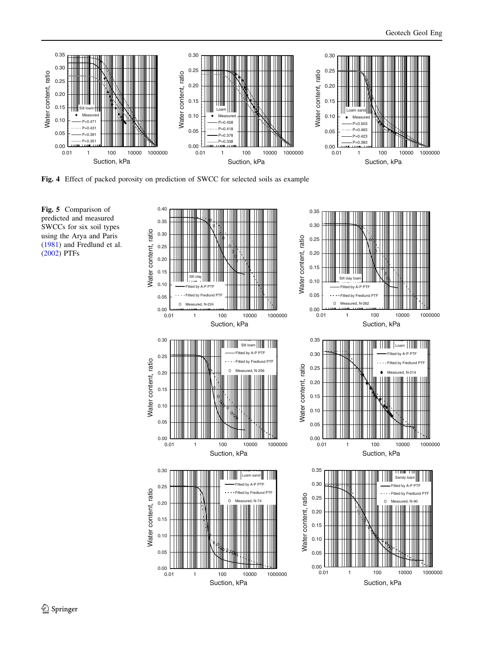<span id="page-7-0"></span>

Fig. 4 Effect of packed porosity on prediction of SWCC for selected soils as example



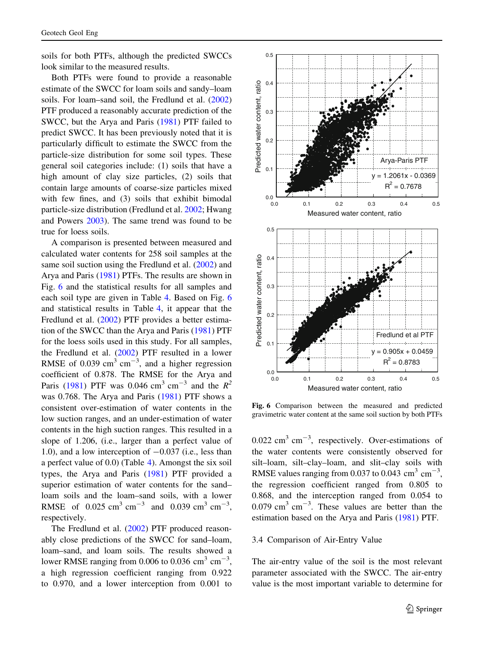soils for both PTFs, although the predicted SWCCs look similar to the measured results.

Both PTFs were found to provide a reasonable estimate of the SWCC for loam soils and sandy–loam soils. For loam–sand soil, the Fredlund et al. ([2002\)](#page-12-0) PTF produced a reasonably accurate prediction of the SWCC, but the Arya and Paris ([1981\)](#page-11-0) PTF failed to predict SWCC. It has been previously noted that it is particularly difficult to estimate the SWCC from the particle-size distribution for some soil types. These general soil categories include: (1) soils that have a high amount of clay size particles, (2) soils that contain large amounts of coarse-size particles mixed with few fines, and (3) soils that exhibit bimodal particle-size distribution (Fredlund et al. [2002;](#page-12-0) Hwang and Powers [2003\)](#page-12-0). The same trend was found to be true for loess soils.

A comparison is presented between measured and calculated water contents for 258 soil samples at the same soil suction using the Fredlund et al. ([2002\)](#page-12-0) and Arya and Paris [\(1981](#page-11-0)) PTFs. The results are shown in Fig. 6 and the statistical results for all samples and each soil type are given in Table [4.](#page-9-0) Based on Fig. 6 and statistical results in Table [4](#page-9-0), it appear that the Fredlund et al. [\(2002](#page-12-0)) PTF provides a better estimation of the SWCC than the Arya and Paris [\(1981](#page-11-0)) PTF for the loess soils used in this study. For all samples, the Fredlund et al. [\(2002](#page-12-0)) PTF resulted in a lower RMSE of 0.039  $\text{cm}^3 \text{ cm}^{-3}$ , and a higher regression coefficient of 0.878. The RMSE for the Arya and Paris ([1981\)](#page-11-0) PTF was 0.046 cm<sup>3</sup> cm<sup>-3</sup> and the  $R^2$ was 0.768. The Arya and Paris ([1981\)](#page-11-0) PTF shows a consistent over-estimation of water contents in the low suction ranges, and an under-estimation of water contents in the high suction ranges. This resulted in a slope of 1.206, (i.e., larger than a perfect value of 1.0), and a low interception of  $-0.037$  (i.e., less than a perfect value of 0.0) (Table [4\)](#page-9-0). Amongst the six soil types, the Arya and Paris [\(1981](#page-11-0)) PTF provided a superior estimation of water contents for the sand– loam soils and the loam–sand soils, with a lower RMSE of 0.025 cm<sup>3</sup> cm<sup>-3</sup> and 0.039 cm<sup>3</sup> cm<sup>-3</sup>, respectively.

The Fredlund et al. [\(2002](#page-12-0)) PTF produced reasonably close predictions of the SWCC for sand–loam, loam–sand, and loam soils. The results showed a lower RMSE ranging from 0.006 to 0.036  $\text{cm}^3 \text{ cm}^{-3}$ , a high regression coefficient ranging from 0.922 to 0.970, and a lower interception from 0.001 to



Fig. 6 Comparison between the measured and predicted gravimetric water content at the same soil suction by both PTFs

 $0.022 \text{ cm}^3 \text{ cm}^{-3}$ , respectively. Over-estimations of the water contents were consistently observed for silt–loam, silt–clay–loam, and slit–clay soils with RMSE values ranging from 0.037 to 0.043  $\text{cm}^3 \text{ cm}^{-3}$ , the regression coefficient ranged from 0.805 to 0.868, and the interception ranged from 0.054 to  $0.079$  cm<sup>3</sup> cm<sup>-3</sup>. These values are better than the estimation based on the Arya and Paris [\(1981](#page-11-0)) PTF.

#### 3.4 Comparison of Air-Entry Value

The air-entry value of the soil is the most relevant parameter associated with the SWCC. The air-entry value is the most important variable to determine for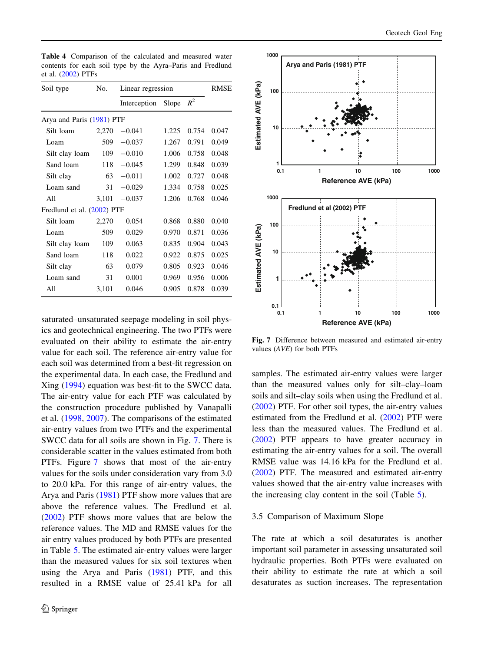| Soil type                  | No.   | Linear regression | RMSE  |       |       |
|----------------------------|-------|-------------------|-------|-------|-------|
|                            |       | Interception      | Slope | $R^2$ |       |
| Arya and Paris (1981) PTF  |       |                   |       |       |       |
| Silt loam                  | 2,270 | $-0.041$          | 1.225 | 0.754 | 0.047 |
| Loam                       | 509   | $-0.037$          | 1.267 | 0.791 | 0.049 |
| Silt clay loam             | 109   | $-0.010$          | 1.006 | 0.758 | 0.048 |
| Sand loam                  | 118   | $-0.045$          | 1.299 | 0.848 | 0.039 |
| Silt clay                  | 63    | $-0.011$          | 1.002 | 0.727 | 0.048 |
| Loam sand                  | 31    | $-0.029$          | 1.334 | 0.758 | 0.025 |
| All                        | 3,101 | $-0.037$          | 1.206 | 0.768 | 0.046 |
| Fredlund et al. (2002) PTF |       |                   |       |       |       |
| Silt loam                  | 2,270 | 0.054             | 0.868 | 0.880 | 0.040 |
| Loam                       | 509   | 0.029             | 0.970 | 0.871 | 0.036 |
| Silt clay loam             | 109   | 0.063             | 0.835 | 0.904 | 0.043 |
| Sand loam                  | 118   | 0.022             | 0.922 | 0.875 | 0.025 |
| Silt clay                  | 63    | 0.079             | 0.805 | 0.923 | 0.046 |
| Loam sand                  | 31    | 0.001             | 0.969 | 0.956 | 0.006 |
| All                        | 3,101 | 0.046             | 0.905 | 0.878 | 0.039 |

<span id="page-9-0"></span>Table 4 Comparison of the calculated and measured water contents for each soil type by the Ayra–Paris and Fredlund et al. ([2002\)](#page-12-0) PTFs

saturated–unsaturated seepage modeling in soil physics and geotechnical engineering. The two PTFs were evaluated on their ability to estimate the air-entry value for each soil. The reference air-entry value for each soil was determined from a best-fit regression on the experimental data. In each case, the Fredlund and Xing ([1994\)](#page-12-0) equation was best-fit to the SWCC data. The air-entry value for each PTF was calculated by the construction procedure published by Vanapalli et al. ([1998,](#page-12-0) [2007\)](#page-12-0). The comparisons of the estimated air-entry values from two PTFs and the experimental SWCC data for all soils are shown in Fig. 7. There is considerable scatter in the values estimated from both PTFs. Figure 7 shows that most of the air-entry values for the soils under consideration vary from 3.0 to 20.0 kPa. For this range of air-entry values, the Arya and Paris [\(1981](#page-11-0)) PTF show more values that are above the reference values. The Fredlund et al. [\(2002](#page-12-0)) PTF shows more values that are below the reference values. The MD and RMSE values for the air entry values produced by both PTFs are presented in Table [5](#page-10-0). The estimated air-entry values were larger than the measured values for six soil textures when using the Arya and Paris ([1981\)](#page-11-0) PTF, and this resulted in a RMSE value of 25.41 kPa for all



Fig. 7 Difference between measured and estimated air-entry values (AVE) for both PTFs

samples. The estimated air-entry values were larger than the measured values only for silt–clay–loam soils and silt–clay soils when using the Fredlund et al. [\(2002](#page-12-0)) PTF. For other soil types, the air-entry values estimated from the Fredlund et al. [\(2002](#page-12-0)) PTF were less than the measured values. The Fredlund et al. [\(2002](#page-12-0)) PTF appears to have greater accuracy in estimating the air-entry values for a soil. The overall RMSE value was 14.16 kPa for the Fredlund et al. [\(2002](#page-12-0)) PTF. The measured and estimated air-entry values showed that the air-entry value increases with the increasing clay content in the soil (Table [5\)](#page-10-0).

# 3.5 Comparison of Maximum Slope

The rate at which a soil desaturates is another important soil parameter in assessing unsaturated soil hydraulic properties. Both PTFs were evaluated on their ability to estimate the rate at which a soil desaturates as suction increases. The representation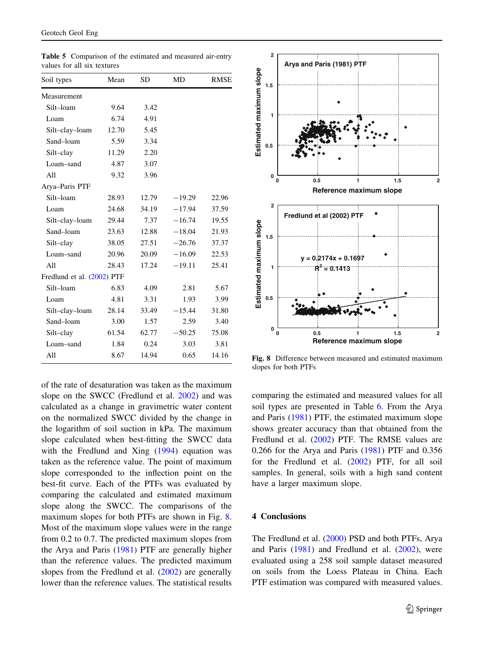<span id="page-10-0"></span>

| <b>Table 5</b> Comparison of the estimated and measured air-entry |  |  |
|-------------------------------------------------------------------|--|--|
| values for all six textures                                       |  |  |

| Soil types                 | Mean  | SD    | MD       | <b>RMSE</b> |
|----------------------------|-------|-------|----------|-------------|
| Measurement                |       |       |          |             |
| Silt-loam                  | 9.64  | 3.42  |          |             |
| Loam                       | 6.74  | 4.91  |          |             |
| Silt-clay-loam             | 12.70 | 5.45  |          |             |
| Sand-loam                  | 5.59  | 3.34  |          |             |
| Silt-clay                  | 11.29 | 2.20  |          |             |
| Loam-sand                  | 4.87  | 3.07  |          |             |
| All                        | 9.32  | 3.96  |          |             |
| Arya-Paris PTF             |       |       |          |             |
| Silt-loam                  | 28.93 | 12.79 | $-19.29$ | 22.96       |
| Loam                       | 24.68 | 34.19 | $-17.94$ | 37.59       |
| Silt-clay-loam             | 29.44 | 7.37  | $-16.74$ | 19.55       |
| Sand-loam                  | 23.63 | 12.88 | $-18.04$ | 21.93       |
| Silt-clay                  | 38.05 | 27.51 | $-26.76$ | 37.37       |
| Loam-sand                  | 20.96 | 20.09 | $-16.09$ | 22.53       |
| All                        | 28.43 | 17.24 | $-19.11$ | 25.41       |
| Fredlund et al. (2002) PTF |       |       |          |             |
| Silt-loam                  | 6.83  | 4.09  | 2.81     | 5.67        |
| Loam                       | 4.81  | 3.31  | 1.93     | 3.99        |
| Silt-clay-loam             | 28.14 | 33.49 | $-15.44$ | 31.80       |
| Sand-loam                  | 3.00  | 1.57  | 2.59     | 3.40        |
| Silt-clay                  | 61.54 | 62.77 | $-50.25$ | 75.08       |
| Loam-sand                  | 1.84  | 0.24  | 3.03     | 3.81        |
| A11                        | 8.67  | 14.94 | 0.65     | 14.16       |
|                            |       |       |          |             |

of the rate of desaturation was taken as the maximum slope on the SWCC (Fredlund et al. [2002](#page-12-0)) and was calculated as a change in gravimetric water content on the normalized SWCC divided by the change in the logarithm of soil suction in kPa. The maximum slope calculated when best-fitting the SWCC data with the Fredlund and Xing ([1994\)](#page-12-0) equation was taken as the reference value. The point of maximum slope corresponded to the inflection point on the best-fit curve. Each of the PTFs was evaluated by comparing the calculated and estimated maximum slope along the SWCC. The comparisons of the maximum slopes for both PTFs are shown in Fig. 8. Most of the maximum slope values were in the range from 0.2 to 0.7. The predicted maximum slopes from the Arya and Paris ([1981\)](#page-11-0) PTF are generally higher than the reference values. The predicted maximum slopes from the Fredlund et al. ([2002\)](#page-12-0) are generally lower than the reference values. The statistical results



Fig. 8 Difference between measured and estimated maximum slopes for both PTFs

comparing the estimated and measured values for all soil types are presented in Table [6](#page-11-0). From the Arya and Paris ([1981\)](#page-11-0) PTF, the estimated maximum slope shows greater accuracy than that obtained from the Fredlund et al. ([2002\)](#page-12-0) PTF. The RMSE values are 0.266 for the Arya and Paris ([1981\)](#page-11-0) PTF and 0.356 for the Fredlund et al. [\(2002](#page-12-0)) PTF, for all soil samples. In general, soils with a high sand content have a larger maximum slope.

# 4 Conclusions

The Fredlund et al. ([2000\)](#page-12-0) PSD and both PTFs, Arya and Paris [\(1981](#page-11-0)) and Fredlund et al. [\(2002](#page-12-0)), were evaluated using a 258 soil sample dataset measured on soils from the Loess Plateau in China. Each PTF estimation was compared with measured values.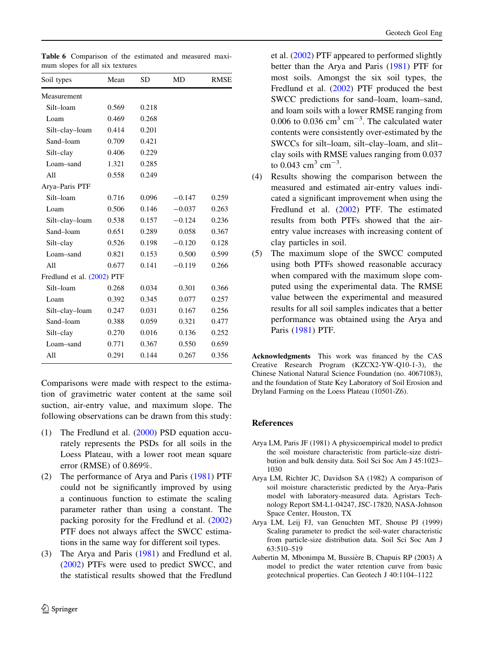| Soil types                 | Mean  | SD    | MD       | <b>RMSE</b> |  |  |  |  |
|----------------------------|-------|-------|----------|-------------|--|--|--|--|
| Measurement                |       |       |          |             |  |  |  |  |
| Silt-loam                  | 0.569 | 0.218 |          |             |  |  |  |  |
| Loam                       | 0.469 | 0.268 |          |             |  |  |  |  |
| Silt-clay-loam             | 0.414 | 0.201 |          |             |  |  |  |  |
| Sand-loam                  | 0.709 | 0.421 |          |             |  |  |  |  |
| Silt-clay                  | 0.406 | 0.229 |          |             |  |  |  |  |
| Loam-sand                  | 1.321 | 0.285 |          |             |  |  |  |  |
| All                        | 0.558 | 0.249 |          |             |  |  |  |  |
| Arya-Paris PTF             |       |       |          |             |  |  |  |  |
| Silt-loam                  | 0.716 | 0.096 | $-0.147$ | 0.259       |  |  |  |  |
| Loam                       | 0.506 | 0.146 | $-0.037$ | 0.263       |  |  |  |  |
| Silt-clay-loam             | 0.538 | 0.157 | $-0.124$ | 0.236       |  |  |  |  |
| Sand-loam                  | 0.651 | 0.289 | 0.058    | 0.367       |  |  |  |  |
| Silt-clay                  | 0.526 | 0.198 | $-0.120$ | 0.128       |  |  |  |  |
| Loam-sand                  | 0.821 | 0.153 | 0.500    | 0.599       |  |  |  |  |
| All                        | 0.677 | 0.141 | $-0.119$ | 0.266       |  |  |  |  |
| Fredlund et al. (2002) PTF |       |       |          |             |  |  |  |  |
| Silt-loam                  | 0.268 | 0.034 | 0.301    | 0.366       |  |  |  |  |
| Loam                       | 0.392 | 0.345 | 0.077    | 0.257       |  |  |  |  |
| Silt-clay-loam             | 0.247 | 0.031 | 0.167    | 0.256       |  |  |  |  |
| Sand-loam                  | 0.388 | 0.059 | 0.321    | 0.477       |  |  |  |  |
| Silt-clay                  | 0.270 | 0.016 | 0.136    | 0.252       |  |  |  |  |
| Loam-sand                  | 0.771 | 0.367 | 0.550    | 0.659       |  |  |  |  |
| All                        | 0.291 | 0.144 | 0.267    | 0.356       |  |  |  |  |

<span id="page-11-0"></span>Table 6 Comparison of the estimated and measured maximum slopes for all six textures

Comparisons were made with respect to the estimation of gravimetric water content at the same soil suction, air-entry value, and maximum slope. The following observations can be drawn from this study:

- (1) The Fredlund et al. [\(2000](#page-12-0)) PSD equation accurately represents the PSDs for all soils in the Loess Plateau, with a lower root mean square error (RMSE) of 0.869%.
- (2) The performance of Arya and Paris (1981) PTF could not be significantly improved by using a continuous function to estimate the scaling parameter rather than using a constant. The packing porosity for the Fredlund et al. ([2002\)](#page-12-0) PTF does not always affect the SWCC estimations in the same way for different soil types.
- (3) The Arya and Paris (1981) and Fredlund et al. ([2002\)](#page-12-0) PTFs were used to predict SWCC, and the statistical results showed that the Fredlund

et al. ([2002\)](#page-12-0) PTF appeared to performed slightly better than the Arya and Paris (1981) PTF for most soils. Amongst the six soil types, the Fredlund et al. [\(2002](#page-12-0)) PTF produced the best SWCC predictions for sand–loam, loam–sand, and loam soils with a lower RMSE ranging from 0.006 to 0.036  $\text{cm}^3 \text{ cm}^{-3}$ . The calculated water contents were consistently over-estimated by the SWCCs for silt–loam, silt–clay–loam, and slit– clay soils with RMSE values ranging from 0.037 to 0.043 cm<sup>3</sup> cm<sup>-3</sup>.

- (4) Results showing the comparison between the measured and estimated air-entry values indicated a significant improvement when using the Fredlund et al. [\(2002](#page-12-0)) PTF. The estimated results from both PTFs showed that the airentry value increases with increasing content of clay particles in soil.
- (5) The maximum slope of the SWCC computed using both PTFs showed reasonable accuracy when compared with the maximum slope computed using the experimental data. The RMSE value between the experimental and measured results for all soil samples indicates that a better performance was obtained using the Arya and Paris (1981) PTF.

Acknowledgments This work was financed by the CAS Creative Research Program (KZCX2-YW-Q10-1-3), the Chinese National Natural Science Foundation (no. 40671083), and the foundation of State Key Laboratory of Soil Erosion and Dryland Farming on the Loess Plateau (10501-Z6).

# References

- Arya LM, Paris JF (1981) A physicoempirical model to predict the soil moisture characteristic from particle-size distribution and bulk density data. Soil Sci Soc Am J 45:1023– 1030
- Arya LM, Richter JC, Davidson SA (1982) A comparison of soil moisture characteristic predicted by the Arya–Paris model with laboratory-measured data. Agristars Technology Report SM-L1-04247, JSC-17820, NASA-Johnson Space Center, Houston, TX
- Arya LM, Leij FJ, van Genuchten MT, Shouse PJ (1999) Scaling parameter to predict the soil-water characteristic from particle-size distribution data. Soil Sci Soc Am J 63:510–519
- Aubertin M, Mbonimpa M, Bussière B, Chapuis RP (2003) A model to predict the water retention curve from basic geotechnical properties. Can Geotech J 40:1104–1122